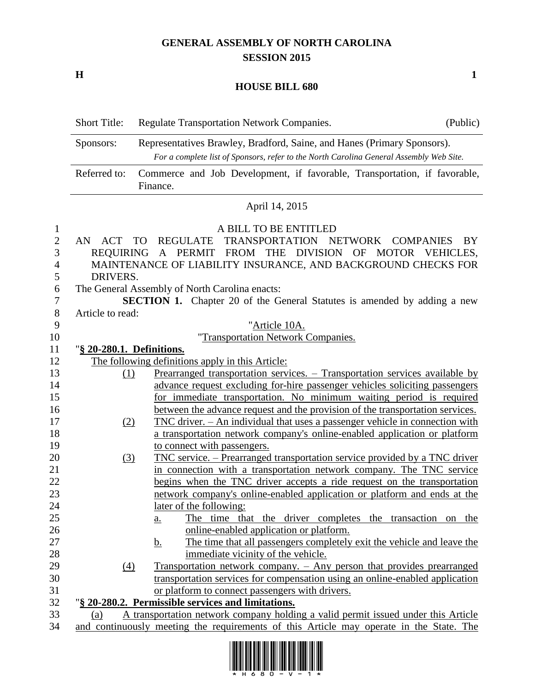## **GENERAL ASSEMBLY OF NORTH CAROLINA SESSION 2015**

**H 1**

## **HOUSE BILL 680**

|                                               | <b>Short Title:</b>                       | Regulate Transportation Network Companies.                                                                                                                                                                           | (Public) |
|-----------------------------------------------|-------------------------------------------|----------------------------------------------------------------------------------------------------------------------------------------------------------------------------------------------------------------------|----------|
|                                               | Sponsors:                                 | Representatives Brawley, Bradford, Saine, and Hanes (Primary Sponsors).<br>For a complete list of Sponsors, refer to the North Carolina General Assembly Web Site.                                                   |          |
|                                               | Referred to:                              | Commerce and Job Development, if favorable, Transportation, if favorable,<br>Finance.                                                                                                                                |          |
|                                               |                                           | April 14, 2015                                                                                                                                                                                                       |          |
| $\mathbf{1}$<br>$\overline{c}$<br>3<br>4<br>5 | AN<br>ACT<br><b>REQUIRING</b><br>DRIVERS. | A BILL TO BE ENTITLED<br>TRANSPORTATION<br><b>TO</b><br><b>REGULATE</b><br>NETWORK COMPANIES<br>FROM THE DIVISION OF MOTOR VEHICLES,<br>PERMIT<br>A<br>MAINTENANCE OF LIABILITY INSURANCE, AND BACKGROUND CHECKS FOR | BY       |
| 6                                             |                                           | The General Assembly of North Carolina enacts:                                                                                                                                                                       |          |
| 7                                             |                                           | <b>SECTION 1.</b> Chapter 20 of the General Statutes is amended by adding a new                                                                                                                                      |          |
| $8\,$                                         | Article to read:                          |                                                                                                                                                                                                                      |          |
| 9                                             |                                           | "Article 10A.                                                                                                                                                                                                        |          |
| 10                                            |                                           | "Transportation Network Companies.                                                                                                                                                                                   |          |
| 11                                            | "§ 20-280.1. Definitions.                 |                                                                                                                                                                                                                      |          |
| 12                                            |                                           | The following definitions apply in this Article:                                                                                                                                                                     |          |
| 13                                            | (1)                                       | Prearranged transportation services. - Transportation services available by                                                                                                                                          |          |
| 14                                            |                                           | advance request excluding for-hire passenger vehicles soliciting passengers                                                                                                                                          |          |
| 15                                            |                                           | for immediate transportation. No minimum waiting period is required                                                                                                                                                  |          |
| 16                                            |                                           | between the advance request and the provision of the transportation services.                                                                                                                                        |          |
| 17                                            | (2)                                       | <u> TNC driver. – An individual that uses a passenger vehicle in connection with</u>                                                                                                                                 |          |
| 18                                            |                                           | a transportation network company's online-enabled application or platform                                                                                                                                            |          |
| 19                                            |                                           | to connect with passengers.                                                                                                                                                                                          |          |
| 20                                            | (3)                                       | <u> TNC service. – Prearranged transportation service provided by a TNC driver</u>                                                                                                                                   |          |
| 21                                            |                                           | in connection with a transportation network company. The TNC service                                                                                                                                                 |          |
| 22                                            |                                           | begins when the TNC driver accepts a ride request on the transportation                                                                                                                                              |          |
| 23                                            |                                           | network company's online-enabled application or platform and ends at the                                                                                                                                             |          |
| 24                                            |                                           | later of the following:                                                                                                                                                                                              |          |
| 25                                            |                                           | The time that the driver completes the transaction on the<br><u>a.</u>                                                                                                                                               |          |
| 26                                            |                                           | online-enabled application or platform.                                                                                                                                                                              |          |
| 27                                            |                                           | The time that all passengers completely exit the vehicle and leave the<br><u>b.</u>                                                                                                                                  |          |
| 28                                            |                                           | immediate vicinity of the vehicle.                                                                                                                                                                                   |          |
| 29                                            | $\left(4\right)$                          | Transportation network company. - Any person that provides prearranged                                                                                                                                               |          |
| 30                                            |                                           | transportation services for compensation using an online-enabled application                                                                                                                                         |          |
| 31                                            |                                           | or platform to connect passengers with drivers.                                                                                                                                                                      |          |
| 32                                            |                                           | "§ 20-280.2. Permissible services and limitations.                                                                                                                                                                   |          |
| 33                                            | (a)                                       | A transportation network company holding a valid permit issued under this Article                                                                                                                                    |          |
| 34                                            |                                           | and continuously meeting the requirements of this Article may operate in the State. The                                                                                                                              |          |

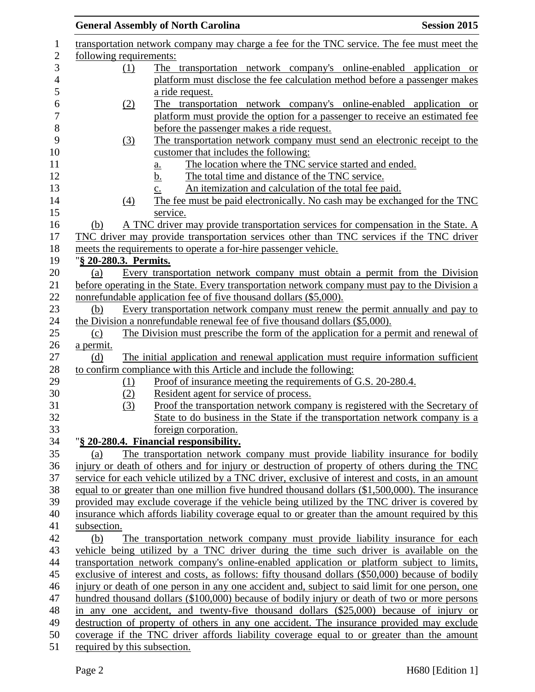|                              | <b>General Assembly of North Carolina</b>                                                        | <b>Session 2015</b> |
|------------------------------|--------------------------------------------------------------------------------------------------|---------------------|
|                              | transportation network company may charge a fee for the TNC service. The fee must meet the       |                     |
| following requirements:      |                                                                                                  |                     |
| (1)                          | The transportation network company's online-enabled application or                               |                     |
|                              | platform must disclose the fee calculation method before a passenger makes                       |                     |
|                              | a ride request.                                                                                  |                     |
| (2)                          | The transportation network company's online-enabled application or                               |                     |
|                              | platform must provide the option for a passenger to receive an estimated fee                     |                     |
|                              | before the passenger makes a ride request.                                                       |                     |
| (3)                          | The transportation network company must send an electronic receipt to the                        |                     |
|                              | customer that includes the following:                                                            |                     |
|                              | The location where the TNC service started and ended.<br>$a_{\cdot}$                             |                     |
|                              | The total time and distance of the TNC service.<br>b.                                            |                     |
|                              | An itemization and calculation of the total fee paid.<br>c.                                      |                     |
| (4)                          | The fee must be paid electronically. No cash may be exchanged for the TNC                        |                     |
|                              | service.                                                                                         |                     |
| (b)                          | A TNC driver may provide transportation services for compensation in the State. A                |                     |
|                              | TNC driver may provide transportation services other than TNC services if the TNC driver         |                     |
|                              | meets the requirements to operate a for-hire passenger vehicle.                                  |                     |
| "§ 20-280.3. Permits.        |                                                                                                  |                     |
| (a)                          | Every transportation network company must obtain a permit from the Division                      |                     |
|                              | before operating in the State. Every transportation network company must pay to the Division a   |                     |
|                              | nonrefundable application fee of five thousand dollars (\$5,000).                                |                     |
| (b)                          | Every transportation network company must renew the permit annually and pay to                   |                     |
|                              | the Division a nonrefundable renewal fee of five thousand dollars (\$5,000).                     |                     |
| (c)                          | The Division must prescribe the form of the application for a permit and renewal of              |                     |
| a permit.                    |                                                                                                  |                     |
| (d)                          | The initial application and renewal application must require information sufficient              |                     |
|                              | to confirm compliance with this Article and include the following:                               |                     |
| (1)                          | Proof of insurance meeting the requirements of G.S. 20-280.4.                                    |                     |
| (2)                          | Resident agent for service of process.                                                           |                     |
| (3)                          | Proof the transportation network company is registered with the Secretary of                     |                     |
|                              | State to do business in the State if the transportation network company is a                     |                     |
|                              | foreign corporation.                                                                             |                     |
|                              | "§ 20-280.4. Financial responsibility.                                                           |                     |
| (a)                          | The transportation network company must provide liability insurance for bodily                   |                     |
|                              | injury or death of others and for injury or destruction of property of others during the TNC     |                     |
|                              | service for each vehicle utilized by a TNC driver, exclusive of interest and costs, in an amount |                     |
|                              | equal to or greater than one million five hundred thousand dollars (\$1,500,000). The insurance  |                     |
|                              | provided may exclude coverage if the vehicle being utilized by the TNC driver is covered by      |                     |
|                              | insurance which affords liability coverage equal to or greater than the amount required by this  |                     |
| subsection.                  |                                                                                                  |                     |
| (b)                          | The transportation network company must provide liability insurance for each                     |                     |
|                              | vehicle being utilized by a TNC driver during the time such driver is available on the           |                     |
|                              | transportation network company's online-enabled application or platform subject to limits,       |                     |
|                              | exclusive of interest and costs, as follows: fifty thousand dollars (\$50,000) because of bodily |                     |
|                              | injury or death of one person in any one accident and, subject to said limit for one person, one |                     |
|                              | hundred thousand dollars (\$100,000) because of bodily injury or death of two or more persons    |                     |
|                              | in any one accident, and twenty-five thousand dollars (\$25,000) because of injury or            |                     |
|                              | destruction of property of others in any one accident. The insurance provided may exclude        |                     |
| required by this subsection. | coverage if the TNC driver affords liability coverage equal to or greater than the amount        |                     |
|                              |                                                                                                  |                     |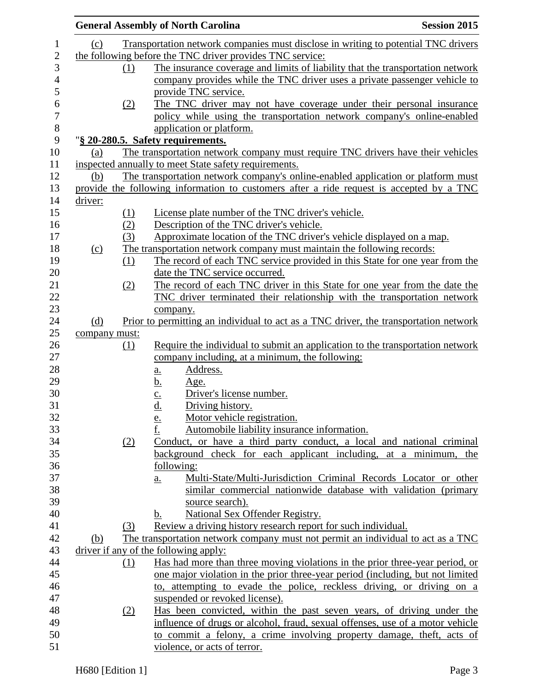|               |     | <b>General Assembly of North Carolina</b>                                                | <b>Session 2015</b> |
|---------------|-----|------------------------------------------------------------------------------------------|---------------------|
| (c)           |     | Transportation network companies must disclose in writing to potential TNC drivers       |                     |
|               |     | the following before the TNC driver provides TNC service:                                |                     |
|               | (1) | The insurance coverage and limits of liability that the transportation network           |                     |
|               |     | company provides while the TNC driver uses a private passenger vehicle to                |                     |
|               |     | provide TNC service.                                                                     |                     |
|               | (2) | The TNC driver may not have coverage under their personal insurance                      |                     |
|               |     | policy while using the transportation network company's online-enabled                   |                     |
|               |     | application or platform.                                                                 |                     |
|               |     | "§ 20-280.5. Safety requirements.                                                        |                     |
| (a)           |     | The transportation network company must require TNC drivers have their vehicles          |                     |
|               |     | inspected annually to meet State safety requirements.                                    |                     |
| (b)           |     | The transportation network company's online-enabled application or platform must         |                     |
|               |     | provide the following information to customers after a ride request is accepted by a TNC |                     |
| driver:       |     |                                                                                          |                     |
|               | (1) | License plate number of the TNC driver's vehicle.                                        |                     |
|               | (2) | Description of the TNC driver's vehicle.                                                 |                     |
|               | (3) |                                                                                          |                     |
|               |     | Approximate location of the TNC driver's vehicle displayed on a map.                     |                     |
| (c)           |     | The transportation network company must maintain the following records:                  |                     |
|               | (1) | The record of each TNC service provided in this State for one year from the              |                     |
|               |     | date the TNC service occurred.                                                           |                     |
|               | (2) | The record of each TNC driver in this State for one year from the date the               |                     |
|               |     | TNC driver terminated their relationship with the transportation network                 |                     |
|               |     | company.                                                                                 |                     |
| (d)           |     | Prior to permitting an individual to act as a TNC driver, the transportation network     |                     |
| company must: |     |                                                                                          |                     |
|               | (1) | Require the individual to submit an application to the transportation network            |                     |
|               |     | company including, at a minimum, the following:                                          |                     |
|               |     | Address.<br>a.                                                                           |                     |
|               |     | <u>b.</u><br><u>Age.</u>                                                                 |                     |
|               |     | $rac{c}{d}$<br>Driver's license number.                                                  |                     |
|               |     | Driving history.                                                                         |                     |
|               |     | Motor vehicle registration.<br><u>e.</u>                                                 |                     |
|               |     | f.<br>Automobile liability insurance information.                                        |                     |
|               | (2) | Conduct, or have a third party conduct, a local and national criminal                    |                     |
|               |     | background check for each applicant including, at a minimum, the                         |                     |
|               |     | following:                                                                               |                     |
|               |     | Multi-State/Multi-Jurisdiction Criminal Records Locator or other<br>$\underline{a}$ .    |                     |
|               |     | similar commercial nationwide database with validation (primary                          |                     |
|               |     | source search).                                                                          |                     |
|               |     | National Sex Offender Registry.<br>b.                                                    |                     |
|               | (3) | Review a driving history research report for such individual.                            |                     |
| (b)           |     | The transportation network company must not permit an individual to act as a TNC         |                     |
|               |     | driver if any of the following apply:                                                    |                     |
|               | (1) | Has had more than three moving violations in the prior three-year period, or             |                     |
|               |     | one major violation in the prior three-year period (including, but not limited           |                     |
|               |     | to, attempting to evade the police, reckless driving, or driving on a                    |                     |
|               |     | suspended or revoked license).                                                           |                     |
|               |     | Has been convicted, within the past seven years, of driving under the                    |                     |
|               | (2) |                                                                                          |                     |
|               |     | influence of drugs or alcohol, fraud, sexual offenses, use of a motor vehicle            |                     |
|               |     | to commit a felony, a crime involving property damage, theft, acts of                    |                     |
|               |     | violence, or acts of terror.                                                             |                     |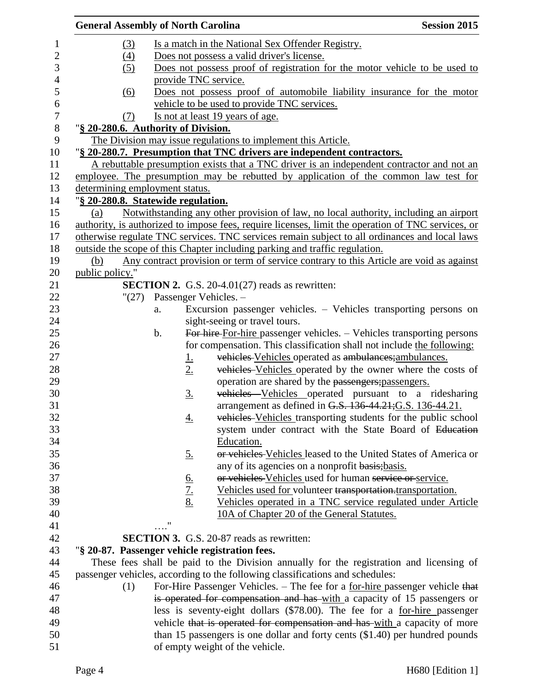|                  | <b>General Assembly of North Carolina</b> |                               |                   |                                                                                                    | <b>Session 2015</b> |
|------------------|-------------------------------------------|-------------------------------|-------------------|----------------------------------------------------------------------------------------------------|---------------------|
| $\mathbf{1}$     |                                           | (3)                           |                   | Is a match in the National Sex Offender Registry.                                                  |                     |
| $\mathbf{2}$     |                                           | $\left(4\right)$              |                   | Does not possess a valid driver's license.                                                         |                     |
| 3                |                                           | (5)                           |                   | Does not possess proof of registration for the motor vehicle to be used to                         |                     |
| $\overline{4}$   |                                           |                               |                   | provide TNC service.                                                                               |                     |
| 5                |                                           | (6)                           |                   | Does not possess proof of automobile liability insurance for the motor                             |                     |
| $\boldsymbol{6}$ |                                           |                               |                   | vehicle to be used to provide TNC services.                                                        |                     |
| $\overline{7}$   |                                           | (7)                           |                   | Is not at least 19 years of age.                                                                   |                     |
| $8\,$            | "§ 20-280.6. Authority of Division.       |                               |                   |                                                                                                    |                     |
| 9                |                                           |                               |                   | The Division may issue regulations to implement this Article.                                      |                     |
| 10               |                                           |                               |                   | "§ 20-280.7. Presumption that TNC drivers are independent contractors.                             |                     |
| 11               |                                           |                               |                   |                                                                                                    |                     |
|                  |                                           |                               |                   | A rebuttable presumption exists that a TNC driver is an independent contractor and not an          |                     |
| 12               |                                           |                               |                   | employee. The presumption may be rebutted by application of the common law test for                |                     |
| 13               | determining employment status.            |                               |                   |                                                                                                    |                     |
| 14               | "§ 20-280.8. Statewide regulation.        |                               |                   |                                                                                                    |                     |
| 15               | (a)                                       |                               |                   | Notwithstanding any other provision of law, no local authority, including an airport               |                     |
| 16               |                                           |                               |                   | authority, is authorized to impose fees, require licenses, limit the operation of TNC services, or |                     |
| 17               |                                           |                               |                   | otherwise regulate TNC services. TNC services remain subject to all ordinances and local laws      |                     |
| 18               |                                           |                               |                   | outside the scope of this Chapter including parking and traffic regulation.                        |                     |
| 19               | (b)                                       |                               |                   | Any contract provision or term of service contrary to this Article are void as against             |                     |
| 20               | public policy."                           |                               |                   |                                                                                                    |                     |
| 21               |                                           |                               |                   | <b>SECTION 2.</b> G.S. 20-4.01(27) reads as rewritten:                                             |                     |
| 22               |                                           | $"(27)$ Passenger Vehicles. - |                   |                                                                                                    |                     |
| 23               |                                           | a.                            |                   | Excursion passenger vehicles. – Vehicles transporting persons on                                   |                     |
| 24               |                                           |                               |                   | sight-seeing or travel tours.                                                                      |                     |
| 25               |                                           | $\mathbf b$ .                 |                   | For hire-For-hire passenger vehicles. - Vehicles transporting persons                              |                     |
| 26               |                                           |                               |                   | for compensation. This classification shall not include the following:                             |                     |
| 27               |                                           |                               | <u>1.</u>         | vehicles Vehicles operated as ambulances; ambulances.                                              |                     |
| 28               |                                           |                               | 2.                | vehicles Vehicles operated by the owner where the costs of                                         |                     |
| 29               |                                           |                               |                   | operation are shared by the passengers; passengers.                                                |                     |
| 30               |                                           |                               | $\underline{3}$ . | vehicles Vehicles operated pursuant to a ridesharing                                               |                     |
| 31               |                                           |                               |                   | arrangement as defined in G.S. 136-44.21; G.S. 136-44.21.                                          |                     |
| 32               |                                           |                               | <u>4.</u>         | vehicles Vehicles transporting students for the public school                                      |                     |
| 33               |                                           |                               |                   | system under contract with the State Board of Education                                            |                     |
| 34               |                                           |                               |                   | Education.                                                                                         |                     |
| 35               |                                           |                               | <u>5.</u>         | or vehicles Vehicles leased to the United States of America or                                     |                     |
| 36               |                                           |                               |                   | any of its agencies on a nonprofit basis; basis.                                                   |                     |
| 37               |                                           |                               |                   | or vehicles Vehicles used for human service or service.                                            |                     |
| 38               |                                           |                               | $rac{6.}{7.8}$    | Vehicles used for volunteer transportation. transportation.                                        |                     |
| 39               |                                           |                               |                   | Vehicles operated in a TNC service regulated under Article                                         |                     |
| 40               |                                           |                               |                   | 10A of Chapter 20 of the General Statutes.                                                         |                     |
| 41               |                                           |                               | "                 |                                                                                                    |                     |
| 42               |                                           |                               |                   | <b>SECTION 3.</b> G.S. 20-87 reads as rewritten:                                                   |                     |
| 43               |                                           |                               |                   | "§ 20-87. Passenger vehicle registration fees.                                                     |                     |
| 44               |                                           |                               |                   | These fees shall be paid to the Division annually for the registration and licensing of            |                     |
| 45               |                                           |                               |                   | passenger vehicles, according to the following classifications and schedules:                      |                     |
| 46               |                                           | (1)                           |                   | For-Hire Passenger Vehicles. - The fee for a for-hire passenger vehicle that                       |                     |
| 47               |                                           |                               |                   | is operated for compensation and has with a capacity of 15 passengers or                           |                     |
| 48               |                                           |                               |                   | less is seventy-eight dollars (\$78.00). The fee for a for-hire passenger                          |                     |
| 49               |                                           |                               |                   | vehicle that is operated for compensation and has-with a capacity of more                          |                     |
| 50               |                                           |                               |                   |                                                                                                    |                     |
| 51               |                                           |                               |                   | than 15 passengers is one dollar and forty cents (\$1.40) per hundred pounds                       |                     |
|                  |                                           |                               |                   | of empty weight of the vehicle.                                                                    |                     |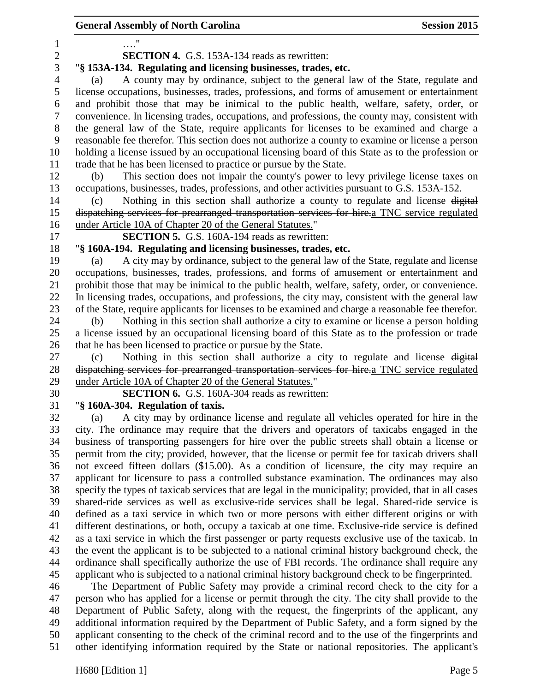…." **SECTION 4.** G.S. 153A-134 reads as rewritten: "**§ 153A-134. Regulating and licensing businesses, trades, etc.** (a) A county may by ordinance, subject to the general law of the State, regulate and license occupations, businesses, trades, professions, and forms of amusement or entertainment and prohibit those that may be inimical to the public health, welfare, safety, order, or convenience. In licensing trades, occupations, and professions, the county may, consistent with the general law of the State, require applicants for licenses to be examined and charge a reasonable fee therefor. This section does not authorize a county to examine or license a person holding a license issued by an occupational licensing board of this State as to the profession or trade that he has been licensed to practice or pursue by the State. (b) This section does not impair the county's power to levy privilege license taxes on occupations, businesses, trades, professions, and other activities pursuant to G.S. 153A-152. (c) Nothing in this section shall authorize a county to regulate and license digital dispatching services for prearranged transportation services for hire.a TNC service regulated under Article 10A of Chapter 20 of the General Statutes." **SECTION 5.** G.S. 160A-194 reads as rewritten: "**§ 160A-194. Regulating and licensing businesses, trades, etc.** (a) A city may by ordinance, subject to the general law of the State, regulate and license occupations, businesses, trades, professions, and forms of amusement or entertainment and prohibit those that may be inimical to the public health, welfare, safety, order, or convenience. In licensing trades, occupations, and professions, the city may, consistent with the general law of the State, require applicants for licenses to be examined and charge a reasonable fee therefor. (b) Nothing in this section shall authorize a city to examine or license a person holding a license issued by an occupational licensing board of this State as to the profession or trade that he has been licensed to practice or pursue by the State. (c) Nothing in this section shall authorize a city to regulate and license digital dispatching services for prearranged transportation services for hire.a TNC service regulated under Article 10A of Chapter 20 of the General Statutes." **SECTION 6.** G.S. 160A-304 reads as rewritten: "**§ 160A-304. Regulation of taxis.** (a) A city may by ordinance license and regulate all vehicles operated for hire in the city. The ordinance may require that the drivers and operators of taxicabs engaged in the business of transporting passengers for hire over the public streets shall obtain a license or permit from the city; provided, however, that the license or permit fee for taxicab drivers shall not exceed fifteen dollars (\$15.00). As a condition of licensure, the city may require an applicant for licensure to pass a controlled substance examination. The ordinances may also specify the types of taxicab services that are legal in the municipality; provided, that in all cases shared-ride services as well as exclusive-ride services shall be legal. Shared-ride service is defined as a taxi service in which two or more persons with either different origins or with different destinations, or both, occupy a taxicab at one time. Exclusive-ride service is defined as a taxi service in which the first passenger or party requests exclusive use of the taxicab. In the event the applicant is to be subjected to a national criminal history background check, the ordinance shall specifically authorize the use of FBI records. The ordinance shall require any applicant who is subjected to a national criminal history background check to be fingerprinted. The Department of Public Safety may provide a criminal record check to the city for a person who has applied for a license or permit through the city. The city shall provide to the Department of Public Safety, along with the request, the fingerprints of the applicant, any additional information required by the Department of Public Safety, and a form signed by the applicant consenting to the check of the criminal record and to the use of the fingerprints and other identifying information required by the State or national repositories. The applicant's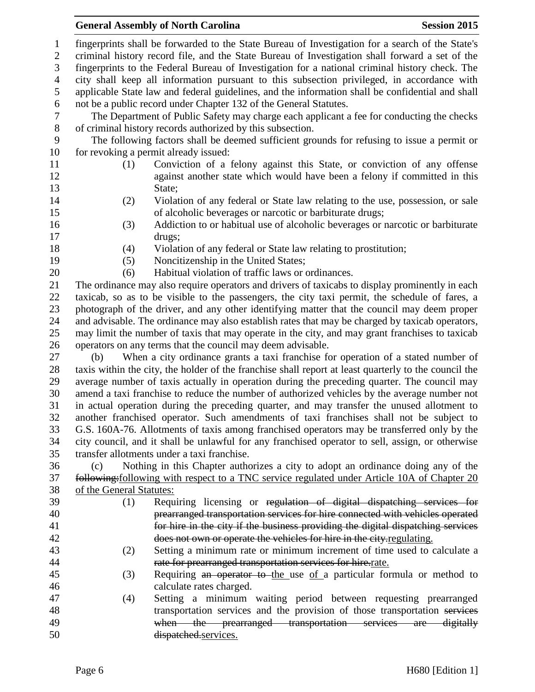## **General Assembly of North Carolina Session 2015**

 applicable State law and federal guidelines, and the information shall be confidential and shall not be a public record under Chapter 132 of the General Statutes. The Department of Public Safety may charge each applicant a fee for conducting the checks of criminal history records authorized by this subsection. The following factors shall be deemed sufficient grounds for refusing to issue a permit or 10 for revoking a permit already issued: (1) Conviction of a felony against this State, or conviction of any offense 12 against another state which would have been a felony if committed in this 13 State: (2) Violation of any federal or State law relating to the use, possession, or sale of alcoholic beverages or narcotic or barbiturate drugs; (3) Addiction to or habitual use of alcoholic beverages or narcotic or barbiturate drugs; (4) Violation of any federal or State law relating to prostitution; (5) Noncitizenship in the United States; (6) Habitual violation of traffic laws or ordinances. The ordinance may also require operators and drivers of taxicabs to display prominently in each taxicab, so as to be visible to the passengers, the city taxi permit, the schedule of fares, a photograph of the driver, and any other identifying matter that the council may deem proper and advisable. The ordinance may also establish rates that may be charged by taxicab operators, may limit the number of taxis that may operate in the city, and may grant franchises to taxicab operators on any terms that the council may deem advisable. (b) When a city ordinance grants a taxi franchise for operation of a stated number of taxis within the city, the holder of the franchise shall report at least quarterly to the council the average number of taxis actually in operation during the preceding quarter. The council may amend a taxi franchise to reduce the number of authorized vehicles by the average number not in actual operation during the preceding quarter, and may transfer the unused allotment to another franchised operator. Such amendments of taxi franchises shall not be subject to G.S. 160A-76. Allotments of taxis among franchised operators may be transferred only by the city council, and it shall be unlawful for any franchised operator to sell, assign, or otherwise transfer allotments under a taxi franchise. (c) Nothing in this Chapter authorizes a city to adopt an ordinance doing any of the following:following with respect to a TNC service regulated under Article 10A of Chapter 20 of the General Statutes: (1) Requiring licensing or regulation of digital dispatching services for prearranged transportation services for hire connected with vehicles operated for hire in the city if the business providing the digital dispatching services does not own or operate the vehicles for hire in the city.regulating. (2) Setting a minimum rate or minimum increment of time used to calculate a rate for prearranged transportation services for hire.rate. 45 (3) Requiring an operator to the use of a particular formula or method to calculate rates charged. (4) Setting a minimum waiting period between requesting prearranged 48 transportation services and the provision of those transportation services 49 when the prearranged transportation services are digitally dispatched.services.

 fingerprints shall be forwarded to the State Bureau of Investigation for a search of the State's criminal history record file, and the State Bureau of Investigation shall forward a set of the fingerprints to the Federal Bureau of Investigation for a national criminal history check. The city shall keep all information pursuant to this subsection privileged, in accordance with